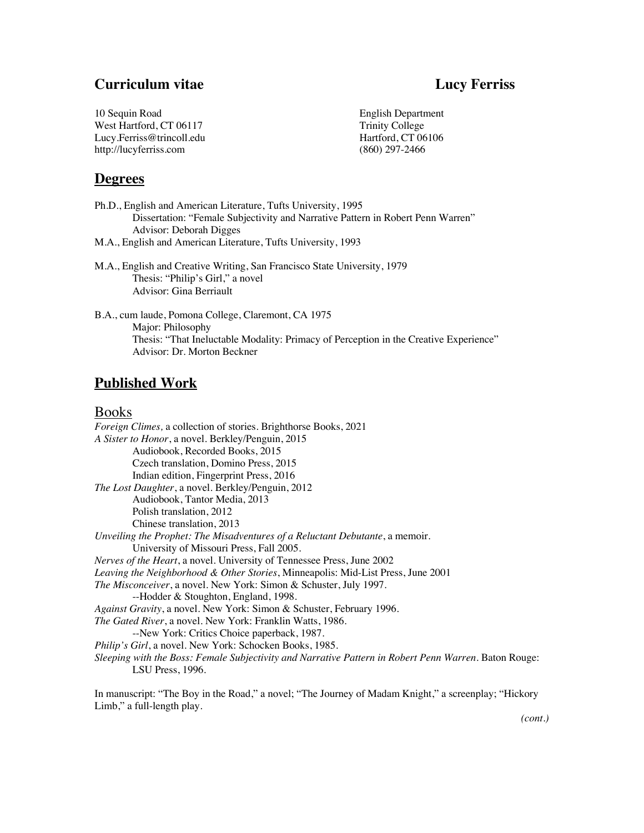## **Curriculum vitae Lucy Ferriss**

| 10 Sequin Road            | English Department |
|---------------------------|--------------------|
| West Hartford, CT 06117   | Trinity College    |
| Lucy.Ferriss@trincoll.edu | Hartford, CT 06106 |
| http://lucyferriss.com    | $(860)$ 297-2466   |
|                           |                    |

## **Degrees**

Ph.D., English and American Literature, Tufts University, 1995 Dissertation: "Female Subjectivity and Narrative Pattern in Robert Penn Warren" Advisor: Deborah Digges M.A., English and American Literature, Tufts University, 1993

- 
- M.A., English and Creative Writing, San Francisco State University, 1979 Thesis: "Philip's Girl," a novel Advisor: Gina Berriault

B.A., cum laude, Pomona College, Claremont, CA 1975 Major: Philosophy Thesis: "That Ineluctable Modality: Primacy of Perception in the Creative Experience" Advisor: Dr. Morton Beckner

## **Published Work**

## Books

*Foreign Climes,* a collection of stories. Brighthorse Books, 2021 *A Sister to Honor*, a novel. Berkley/Penguin, 2015 Audiobook, Recorded Books, 2015 Czech translation, Domino Press, 2015 Indian edition, Fingerprint Press, 2016 *The Lost Daughter*, a novel. Berkley/Penguin, 2012 Audiobook, Tantor Media, 2013 Polish translation, 2012 Chinese translation, 2013 *Unveiling the Prophet: The Misadventures of a Reluctant Debutante*, a memoir. University of Missouri Press, Fall 2005. *Nerves of the Heart*, a novel. University of Tennessee Press, June 2002 *Leaving the Neighborhood & Other Stories*, Minneapolis: Mid-List Press, June 2001 *The Misconceiver*, a novel. New York: Simon & Schuster, July 1997. --Hodder & Stoughton, England, 1998. *Against Gravity*, a novel. New York: Simon & Schuster, February 1996. *The Gated River*, a novel. New York: Franklin Watts, 1986. --New York: Critics Choice paperback, 1987. *Philip's Girl*, a novel. New York: Schocken Books, 1985. *Sleeping with the Boss: Female Subjectivity and Narrative Pattern in Robert Penn Warren. Baton Rouge:* LSU Press, 1996.

In manuscript: "The Boy in the Road," a novel; "The Journey of Madam Knight," a screenplay; "Hickory Limb," a full-length play.

*(cont.)*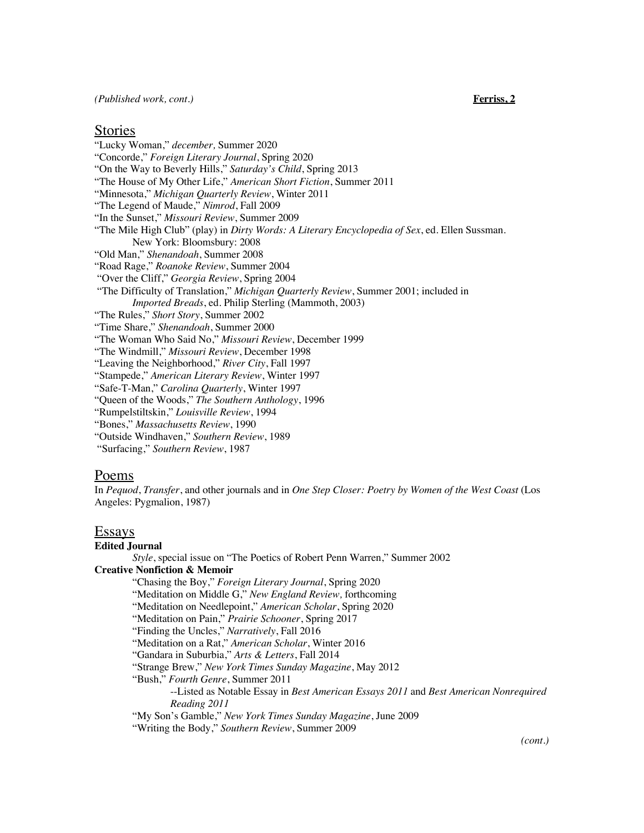*(Published work, cont.)* **Ferriss, 2**

### Stories

"Lucky Woman," *december,* Summer 2020 "Concorde," *Foreign Literary Journal*, Spring 2020 "On the Way to Beverly Hills," *Saturday's Child*, Spring 2013 "The House of My Other Life," *American Short Fiction*, Summer 2011 "Minnesota," *Michigan Quarterly Review*, Winter 2011 "The Legend of Maude," *Nimrod*, Fall 2009 "In the Sunset," *Missouri Review*, Summer 2009 "The Mile High Club" (play) in *Dirty Words: A Literary Encyclopedia of Sex*, ed. Ellen Sussman. New York: Bloomsbury: 2008 "Old Man," *Shenandoah*, Summer 2008 "Road Rage," *Roanoke Review*, Summer 2004 "Over the Cliff," *Georgia Review*, Spring 2004 "The Difficulty of Translation," *Michigan Quarterly Review*, Summer 2001; included in *Imported Breads*, ed. Philip Sterling (Mammoth, 2003) "The Rules," *Short Story*, Summer 2002 "Time Share," *Shenandoah*, Summer 2000 "The Woman Who Said No," *Missouri Review*, December 1999 "The Windmill," *Missouri Review*, December 1998 "Leaving the Neighborhood," *River City*, Fall 1997 "Stampede," *American Literary Review*, Winter 1997 "Safe-T-Man," *Carolina Quarterly*, Winter 1997 "Queen of the Woods," *The Southern Anthology*, 1996 "Rumpelstiltskin," *Louisville Review*, 1994 "Bones," *Massachusetts Review*, 1990 "Outside Windhaven," *Southern Review*, 1989

"Surfacing," *Southern Review*, 1987

### Poems

In *Pequod*, *Transfer*, and other journals and in *One Step Closer: Poetry by Women of the West Coast* (Los Angeles: Pygmalion, 1987)

### Essays

### **Edited Journal**

*Style*, special issue on "The Poetics of Robert Penn Warren," Summer 2002 **Creative Nonfiction & Memoir** "Chasing the Boy," *Foreign Literary Journal*, Spring 2020 "Meditation on Middle G," *New England Review,* forthcoming "Meditation on Needlepoint," *American Scholar*, Spring 2020 "Meditation on Pain," *Prairie Schooner*, Spring 2017 "Finding the Uncles," *Narratively*, Fall 2016 "Meditation on a Rat," *American Scholar*, Winter 2016 "Gandara in Suburbia," *Arts & Letters*, Fall 2014 "Strange Brew," *New York Times Sunday Magazine*, May 2012 "Bush," *Fourth Genre*, Summer 2011 --Listed as Notable Essay in *Best American Essays 2011* and *Best American Nonrequired Reading 2011* "My Son's Gamble," *New York Times Sunday Magazine*, June 2009 "Writing the Body," *Southern Review*, Summer 2009 *(cont.)*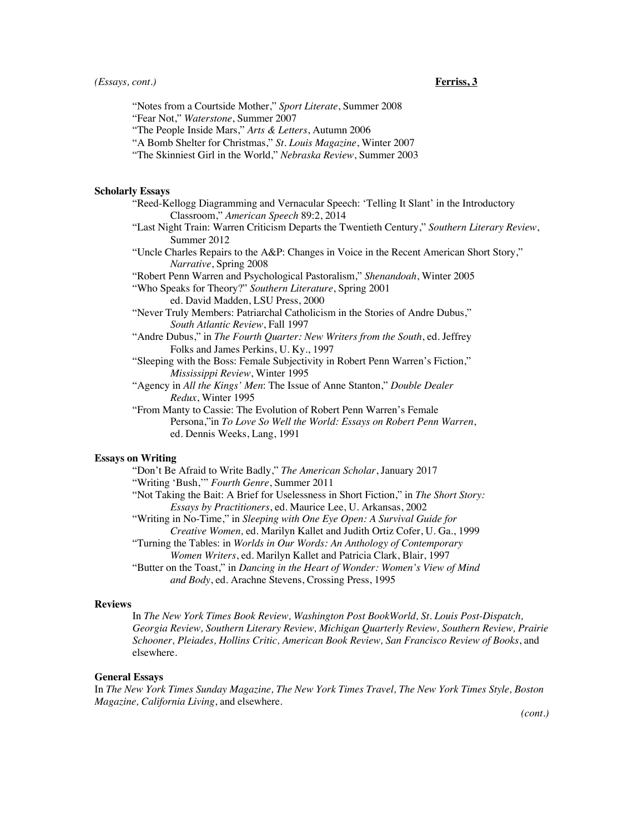"Notes from a Courtside Mother," *Sport Literate*, Summer 2008 "Fear Not," *Waterstone*, Summer 2007

"The People Inside Mars," *Arts & Letters*, Autumn 2006

"A Bomb Shelter for Christmas," *St. Louis Magazine*, Winter 2007

"The Skinniest Girl in the World," *Nebraska Review*, Summer 2003

#### **Scholarly Essays**

- "Reed-Kellogg Diagramming and Vernacular Speech: 'Telling It Slant' in the Introductory Classroom," *American Speech* 89:2, 2014
- "Last Night Train: Warren Criticism Departs the Twentieth Century," *Southern Literary Review*, Summer 2012
- "Uncle Charles Repairs to the A&P: Changes in Voice in the Recent American Short Story," *Narrative*, Spring 2008

"Robert Penn Warren and Psychological Pastoralism," *Shenandoah*, Winter 2005

"Who Speaks for Theory?" *Southern Literature*, Spring 2001

ed. David Madden, LSU Press, 2000

- "Never Truly Members: Patriarchal Catholicism in the Stories of Andre Dubus," *South Atlantic Review*, Fall 1997
- "Andre Dubus," in *The Fourth Quarter: New Writers from the South*, ed. Jeffrey Folks and James Perkins, U. Ky., 1997

"Sleeping with the Boss: Female Subjectivity in Robert Penn Warren's Fiction," *Mississippi Review*, Winter 1995

"Agency in *All the Kings' Men*: The Issue of Anne Stanton," *Double Dealer Redux*, Winter 1995

"From Manty to Cassie: The Evolution of Robert Penn Warren's Female Persona,"in *To Love So Well the World: Essays on Robert Penn Warren*, ed. Dennis Weeks, Lang, 1991

### **Essays on Writing**

"Don't Be Afraid to Write Badly," *The American Scholar*, January 2017 "Writing 'Bush,'" *Fourth Genre*, Summer 2011 "Not Taking the Bait: A Brief for Uselessness in Short Fiction," in *The Short Story: Essays by Practitioners*, ed. Maurice Lee, U. Arkansas, 2002 "Writing in No-Time," in *Sleeping with One Eye Open: A Survival Guide for Creative Women,* ed. Marilyn Kallet and Judith Ortiz Cofer, U. Ga., 1999 "Turning the Tables: in *Worlds in Our Words: An Anthology of Contemporary Women Writers*, ed. Marilyn Kallet and Patricia Clark, Blair, 1997 "Butter on the Toast," in *Dancing in the Heart of Wonder: Women's View of Mind*

*and Body*, ed. Arachne Stevens, Crossing Press, 1995

#### **Reviews**

In *The New York Times Book Review, Washington Post BookWorld, St. Louis Post-Dispatch, Georgia Review, Southern Literary Review, Michigan Quarterly Review, Southern Review, Prairie Schooner, Pleiades, Hollins Critic, American Book Review, San Francisco Review of Books*, and elsewhere.

### **General Essays**

In *The New York Times Sunday Magazine, The New York Times Travel, The New York Times Style, Boston Magazine, California Living*, and elsewhere.

*(cont.)*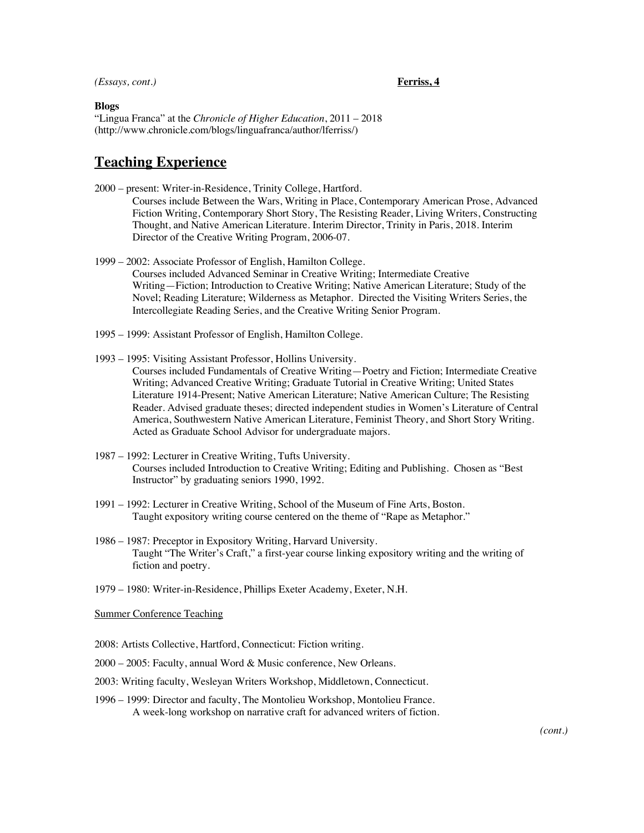#### *(Essays, cont.)* **Ferriss, 4**

**Blogs** "Lingua Franca" at the *Chronicle of Higher Education*, 2011 – 2018 (http://www.chronicle.com/blogs/linguafranca/author/lferriss/)

## **Teaching Experience**

- 2000 present: Writer-in-Residence, Trinity College, Hartford. Courses include Between the Wars, Writing in Place, Contemporary American Prose, Advanced Fiction Writing, Contemporary Short Story, The Resisting Reader, Living Writers, Constructing Thought, and Native American Literature. Interim Director, Trinity in Paris, 2018. Interim Director of the Creative Writing Program, 2006-07.
- 1999 2002: Associate Professor of English, Hamilton College. Courses included Advanced Seminar in Creative Writing; Intermediate Creative Writing—Fiction; Introduction to Creative Writing; Native American Literature; Study of the Novel; Reading Literature; Wilderness as Metaphor. Directed the Visiting Writers Series, the Intercollegiate Reading Series, and the Creative Writing Senior Program.
- 1995 1999: Assistant Professor of English, Hamilton College.
- 1993 1995: Visiting Assistant Professor, Hollins University. Courses included Fundamentals of Creative Writing—Poetry and Fiction; Intermediate Creative Writing; Advanced Creative Writing; Graduate Tutorial in Creative Writing; United States Literature 1914-Present; Native American Literature; Native American Culture; The Resisting Reader. Advised graduate theses; directed independent studies in Women's Literature of Central America, Southwestern Native American Literature, Feminist Theory, and Short Story Writing. Acted as Graduate School Advisor for undergraduate majors.
- 1987 1992: Lecturer in Creative Writing, Tufts University. Courses included Introduction to Creative Writing; Editing and Publishing. Chosen as "Best Instructor" by graduating seniors 1990, 1992.
- 1991 1992: Lecturer in Creative Writing, School of the Museum of Fine Arts, Boston. Taught expository writing course centered on the theme of "Rape as Metaphor."
- 1986 1987: Preceptor in Expository Writing, Harvard University. Taught "The Writer's Craft," a first-year course linking expository writing and the writing of fiction and poetry.
- 1979 1980: Writer-in-Residence, Phillips Exeter Academy, Exeter, N.H.

Summer Conference Teaching

- 2008: Artists Collective, Hartford, Connecticut: Fiction writing.
- 2000 2005: Faculty, annual Word & Music conference, New Orleans.
- 2003: Writing faculty, Wesleyan Writers Workshop, Middletown, Connecticut.
- 1996 1999: Director and faculty, The Montolieu Workshop, Montolieu France. A week-long workshop on narrative craft for advanced writers of fiction.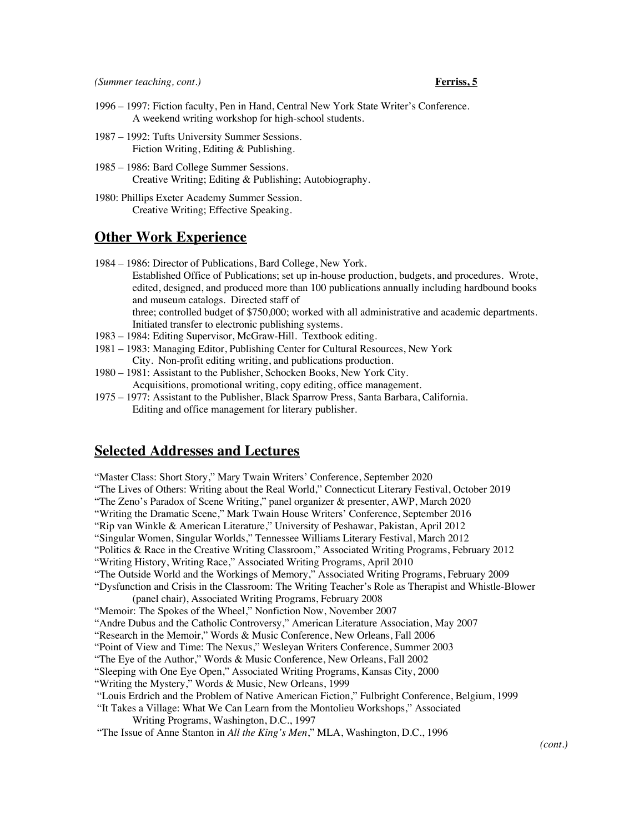- 1996 1997: Fiction faculty, Pen in Hand, Central New York State Writer's Conference. A weekend writing workshop for high-school students.
- 1987 1992: Tufts University Summer Sessions. Fiction Writing, Editing & Publishing.
- 1985 1986: Bard College Summer Sessions. Creative Writing; Editing & Publishing; Autobiography.
- 1980: Phillips Exeter Academy Summer Session. Creative Writing; Effective Speaking.

## **Other Work Experience**

- 1984 1986: Director of Publications, Bard College, New York. Established Office of Publications; set up in-house production, budgets, and procedures. Wrote, edited, designed, and produced more than 100 publications annually including hardbound books and museum catalogs. Directed staff of three; controlled budget of \$750,000; worked with all administrative and academic departments. Initiated transfer to electronic publishing systems.
- 1983 1984: Editing Supervisor, McGraw-Hill. Textbook editing.
- 1981 1983: Managing Editor, Publishing Center for Cultural Resources, New York City. Non-profit editing writing, and publications production.
- 1980 1981: Assistant to the Publisher, Schocken Books, New York City. Acquisitions, promotional writing, copy editing, office management.
- 1975 1977: Assistant to the Publisher, Black Sparrow Press, Santa Barbara, California. Editing and office management for literary publisher.

## **Selected Addresses and Lectures**

"Master Class: Short Story," Mary Twain Writers' Conference, September 2020 "The Lives of Others: Writing about the Real World," Connecticut Literary Festival, October 2019 "The Zeno's Paradox of Scene Writing," panel organizer & presenter, AWP, March 2020 "Writing the Dramatic Scene," Mark Twain House Writers' Conference, September 2016 "Rip van Winkle & American Literature," University of Peshawar, Pakistan, April 2012 "Singular Women, Singular Worlds," Tennessee Williams Literary Festival, March 2012 "Politics & Race in the Creative Writing Classroom," Associated Writing Programs, February 2012 "Writing History, Writing Race," Associated Writing Programs, April 2010 "The Outside World and the Workings of Memory," Associated Writing Programs, February 2009 "Dysfunction and Crisis in the Classroom: The Writing Teacher's Role as Therapist and Whistle-Blower (panel chair), Associated Writing Programs, February 2008 "Memoir: The Spokes of the Wheel," Nonfiction Now, November 2007 "Andre Dubus and the Catholic Controversy," American Literature Association, May 2007 "Research in the Memoir," Words & Music Conference, New Orleans, Fall 2006 "Point of View and Time: The Nexus," Wesleyan Writers Conference, Summer 2003 "The Eye of the Author," Words & Music Conference, New Orleans, Fall 2002 "Sleeping with One Eye Open," Associated Writing Programs, Kansas City, 2000 "Writing the Mystery," Words & Music, New Orleans, 1999 "Louis Erdrich and the Problem of Native American Fiction," Fulbright Conference, Belgium, 1999 "It Takes a Village: What We Can Learn from the Montolieu Workshops," Associated Writing Programs, Washington, D.C., 1997 "The Issue of Anne Stanton in *All the King's Men*," MLA, Washington, D.C., 1996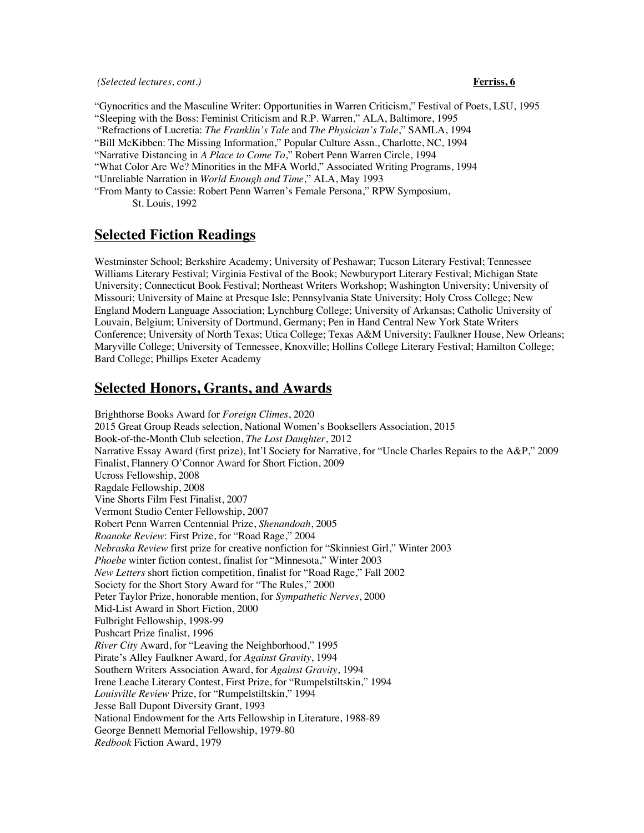"Gynocritics and the Masculine Writer: Opportunities in Warren Criticism," Festival of Poets, LSU, 1995 "Sleeping with the Boss: Feminist Criticism and R.P. Warren," ALA, Baltimore, 1995 "Refractions of Lucretia: *The Franklin's Tale* and *The Physician's Tale*," SAMLA, 1994 "Bill McKibben: The Missing Information," Popular Culture Assn., Charlotte, NC, 1994 "Narrative Distancing in *A Place to Come To*," Robert Penn Warren Circle, 1994 "What Color Are We? Minorities in the MFA World," Associated Writing Programs, 1994 "Unreliable Narration in *World Enough and Time*," ALA, May 1993 "From Manty to Cassie: Robert Penn Warren's Female Persona," RPW Symposium, St. Louis, 1992

## **Selected Fiction Readings**

Westminster School; Berkshire Academy; University of Peshawar; Tucson Literary Festival; Tennessee Williams Literary Festival; Virginia Festival of the Book; Newburyport Literary Festival; Michigan State University; Connecticut Book Festival; Northeast Writers Workshop; Washington University; University of Missouri; University of Maine at Presque Isle; Pennsylvania State University; Holy Cross College; New England Modern Language Association; Lynchburg College; University of Arkansas; Catholic University of Louvain, Belgium; University of Dortmund, Germany; Pen in Hand Central New York State Writers Conference; University of North Texas; Utica College; Texas A&M University; Faulkner House, New Orleans; Maryville College; University of Tennessee, Knoxville; Hollins College Literary Festival; Hamilton College; Bard College; Phillips Exeter Academy

## **Selected Honors, Grants, and Awards**

Brighthorse Books Award for *Foreign Climes*, 2020 2015 Great Group Reads selection, National Women's Booksellers Association, 2015 Book-of-the-Month Club selection, *The Lost Daughter*, 2012 Narrative Essay Award (first prize), Int'l Society for Narrative, for "Uncle Charles Repairs to the A&P," 2009 Finalist, Flannery O'Connor Award for Short Fiction, 2009 Ucross Fellowship, 2008 Ragdale Fellowship, 2008 Vine Shorts Film Fest Finalist, 2007 Vermont Studio Center Fellowship, 2007 Robert Penn Warren Centennial Prize, *Shenandoah*, 2005 *Roanoke Review*: First Prize, for "Road Rage," 2004 *Nebraska Review* first prize for creative nonfiction for "Skinniest Girl," Winter 2003 *Phoebe* winter fiction contest, finalist for "Minnesota," Winter 2003 *New Letters* short fiction competition, finalist for "Road Rage," Fall 2002 Society for the Short Story Award for "The Rules," 2000 Peter Taylor Prize, honorable mention, for *Sympathetic Nerves*, 2000 Mid-List Award in Short Fiction, 2000 Fulbright Fellowship, 1998-99 Pushcart Prize finalist, 1996 *River City* Award, for "Leaving the Neighborhood," 1995 Pirate's Alley Faulkner Award, for *Against Gravity*, 1994 Southern Writers Association Award, for *Against Gravity*, 1994 Irene Leache Literary Contest, First Prize, for "Rumpelstiltskin," 1994 *Louisville Review* Prize, for "Rumpelstiltskin," 1994 Jesse Ball Dupont Diversity Grant, 1993 National Endowment for the Arts Fellowship in Literature, 1988-89 George Bennett Memorial Fellowship, 1979-80 *Redbook* Fiction Award, 1979